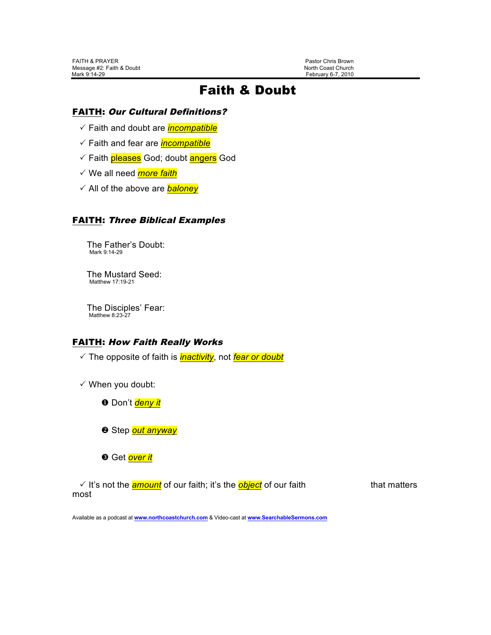February 6-7, 2010

# Faith & Doubt

### FAITH: Our Cultural Definitions?

! Faith and doubt are *incompatible*

- ! Faith and fear are *incompatible*
- √ Faith *pleases* God; doubt angers God
- ! We all need *more faith*
- ! All of the above are *baloney*

### FAITH: Three Biblical Examples

The Father's Doubt:<br>Mark 9:14-29

The Mustard Seed:<br>Matthew 17:19-21

The Disciples' Fear:<br>Matthew 8:23-27

## FAITH: How Faith Really Works

! The opposite of faith is *inactivity*, not *fear or doubt*

 $\checkmark$  When you doubt:

- **O** Don't *deny it*
- **2** Step *out anyway*
- **8** Get **over it**

√ It's not the **amount** of our faith; it's the **object** of our faith that matters most

Available as a podcast at **www.northcoastchurch.com** & Video-cast at **www.SearchableSermons.com**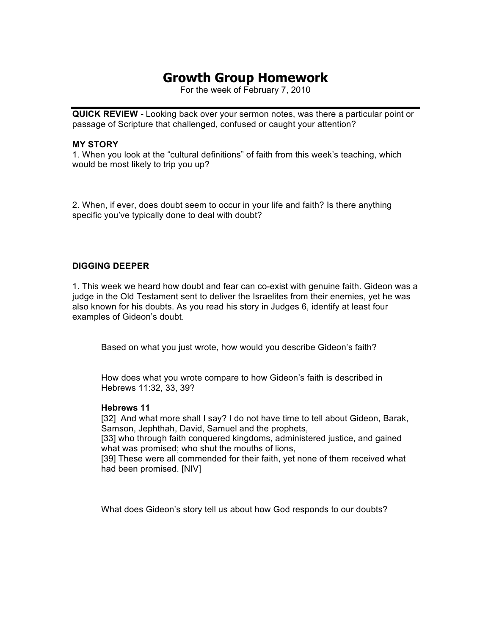# **Growth Group Homework**

For the week of February 7, 2010

**QUICK REVIEW -** Looking back over your sermon notes, was there a particular point or passage of Scripture that challenged, confused or caught your attention?

#### **MY STORY**

1. When you look at the "cultural definitions" of faith from this week's teaching, which would be most likely to trip you up?

2. When, if ever, does doubt seem to occur in your life and faith? Is there anything specific you've typically done to deal with doubt?

#### **DIGGING DEEPER**

1. This week we heard how doubt and fear can co-exist with genuine faith. Gideon was a judge in the Old Testament sent to deliver the Israelites from their enemies, yet he was also known for his doubts. As you read his story in Judges 6, identify at least four examples of Gideon's doubt.

Based on what you just wrote, how would you describe Gideon's faith?

How does what you wrote compare to how Gideon's faith is described in Hebrews 11:32, 33, 39?

#### **Hebrews 11**

[32] And what more shall I say? I do not have time to tell about Gideon, Barak, Samson, Jephthah, David, Samuel and the prophets,

[33] who through faith conquered kingdoms, administered justice, and gained what was promised; who shut the mouths of lions,

[39] These were all commended for their faith, yet none of them received what had been promised. [NIV]

What does Gideon's story tell us about how God responds to our doubts?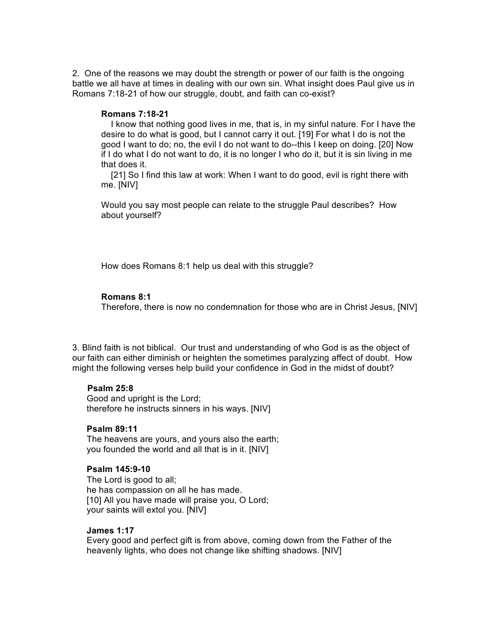2. One of the reasons we may doubt the strength or power of our faith is the ongoing battle we all have at times in dealing with our own sin. What insight does Paul give us in Romans 7:18-21 of how our struggle, doubt, and faith can co-exist?

#### **Romans 7:18-21**

 I know that nothing good lives in me, that is, in my sinful nature. For I have the desire to do what is good, but I cannot carry it out. [19] For what I do is not the good I want to do; no, the evil I do not want to do--this I keep on doing. [20] Now if I do what I do not want to do, it is no longer I who do it, but it is sin living in me that does it.

 [21] So I find this law at work: When I want to do good, evil is right there with me. [NIV]

Would you say most people can relate to the struggle Paul describes? How about yourself?

How does Romans 8:1 help us deal with this struggle?

#### **Romans 8:1**

Therefore, there is now no condemnation for those who are in Christ Jesus, [NIV]

3. Blind faith is not biblical. Our trust and understanding of who God is as the object of our faith can either diminish or heighten the sometimes paralyzing affect of doubt. How might the following verses help build your confidence in God in the midst of doubt?

#### **Psalm 25:8**

 Good and upright is the Lord; therefore he instructs sinners in his ways. [NIV]

#### **Psalm 89:11**

 The heavens are yours, and yours also the earth; you founded the world and all that is in it. [NIV]

#### **Psalm 145:9-10**

 The Lord is good to all; he has compassion on all he has made. [10] All you have made will praise you, O Lord; your saints will extol you. [NIV]

#### **James 1:17**

 Every good and perfect gift is from above, coming down from the Father of the heavenly lights, who does not change like shifting shadows. [NIV]